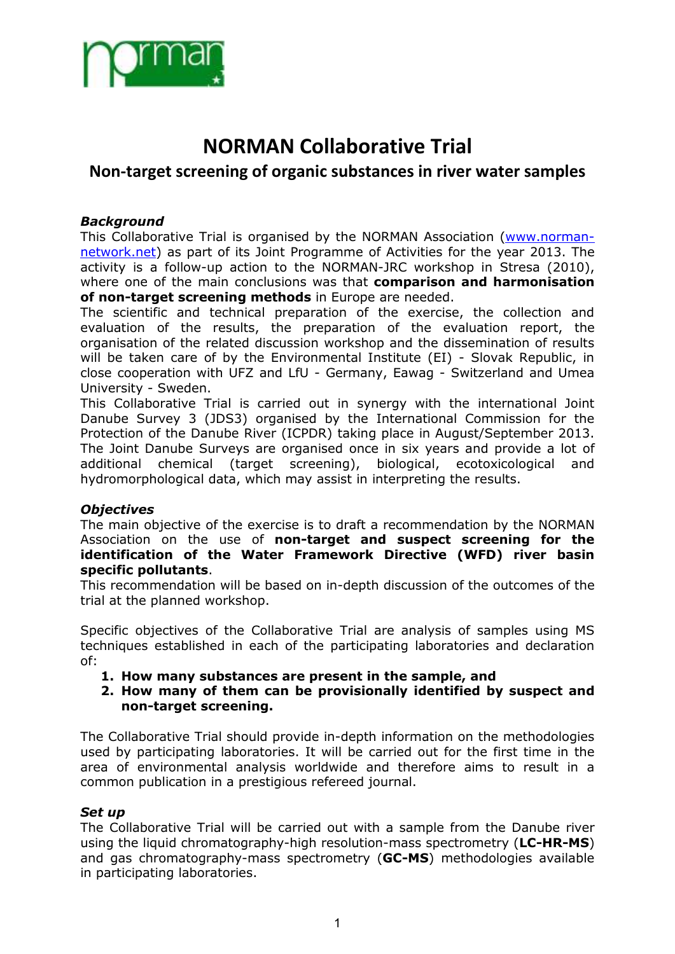

# **NORMAN Collaborative Trial**

# **Non-target screening of organic substances in river water samples**

#### *Background*

This Collaborative Trial is organised by the NORMAN Association (www.normannetwork.net) as part of its Joint Programme of Activities for the year 2013. The activity is a follow-up action to the NORMAN-JRC workshop in Stresa (2010), where one of the main conclusions was that **comparison and harmonisation of non-target screening methods** in Europe are needed.

The scientific and technical preparation of the exercise, the collection and evaluation of the results, the preparation of the evaluation report, the organisation of the related discussion workshop and the dissemination of results will be taken care of by the Environmental Institute (EI) - Slovak Republic, in close cooperation with UFZ and LfU - Germany, Eawag - Switzerland and Umea University - Sweden.

This Collaborative Trial is carried out in synergy with the international Joint Danube Survey 3 (JDS3) organised by the International Commission for the Protection of the Danube River (ICPDR) taking place in August/September 2013. The Joint Danube Surveys are organised once in six years and provide a lot of additional chemical (target screening), biological, ecotoxicological and hydromorphological data, which may assist in interpreting the results.

#### *Objectives*

The main objective of the exercise is to draft a recommendation by the NORMAN Association on the use of **non-target and suspect screening for the identification of the Water Framework Directive (WFD) river basin specific pollutants**.

This recommendation will be based on in-depth discussion of the outcomes of the trial at the planned workshop.

Specific objectives of the Collaborative Trial are analysis of samples using MS techniques established in each of the participating laboratories and declaration of:

- **1. How many substances are present in the sample, and**
- **2. How many of them can be provisionally identified by suspect and non-target screening.**

The Collaborative Trial should provide in-depth information on the methodologies used by participating laboratories. It will be carried out for the first time in the area of environmental analysis worldwide and therefore aims to result in a common publication in a prestigious refereed journal.

#### *Set up*

The Collaborative Trial will be carried out with a sample from the Danube river using the liquid chromatography-high resolution-mass spectrometry (**LC-HR-MS**) and gas chromatography-mass spectrometry (**GC-MS**) methodologies available in participating laboratories.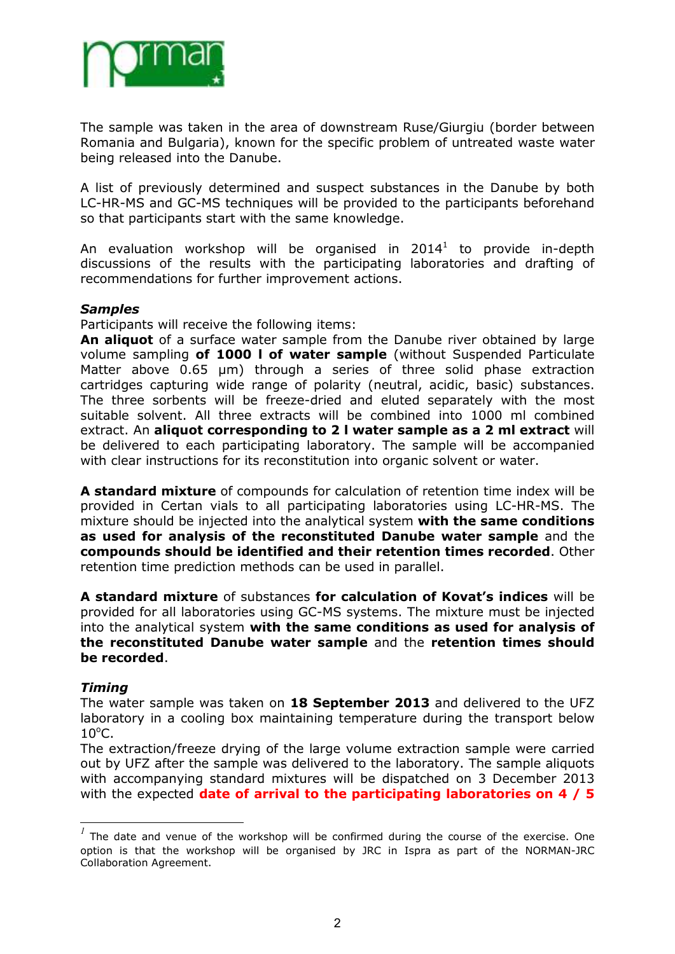

The sample was taken in the area of downstream Ruse/Giurgiu (border between Romania and Bulgaria), known for the specific problem of untreated waste water being released into the Danube.

A list of previously determined and suspect substances in the Danube by both LC-HR-MS and GC-MS techniques will be provided to the participants beforehand so that participants start with the same knowledge.

An evaluation workshop will be organised in  $2014<sup>1</sup>$  to provide in-depth discussions of the results with the participating laboratories and drafting of recommendations for further improvement actions.

#### *Samples*

Participants will receive the following items:

**An aliquot** of a surface water sample from the Danube river obtained by large volume sampling **of 1000 l of water sample** (without Suspended Particulate Matter above 0.65 µm) through a series of three solid phase extraction cartridges capturing wide range of polarity (neutral, acidic, basic) substances. The three sorbents will be freeze-dried and eluted separately with the most suitable solvent. All three extracts will be combined into 1000 ml combined extract. An **aliquot corresponding to 2 l water sample as a 2 ml extract** will be delivered to each participating laboratory. The sample will be accompanied with clear instructions for its reconstitution into organic solvent or water.

**A standard mixture** of compounds for calculation of retention time index will be provided in Certan vials to all participating laboratories using LC-HR-MS. The mixture should be injected into the analytical system **with the same conditions as used for analysis of the reconstituted Danube water sample** and the **compounds should be identified and their retention times recorded**. Other retention time prediction methods can be used in parallel.

**A standard mixture** of substances **for calculation of Kovat's indices** will be provided for all laboratories using GC-MS systems. The mixture must be injected into the analytical system **with the same conditions as used for analysis of the reconstituted Danube water sample** and the **retention times should be recorded**.

#### *Timing*

 $\overline{a}$ 

The water sample was taken on **18 September 2013** and delivered to the UFZ laboratory in a cooling box maintaining temperature during the transport below  $10^{\circ}$ C.

The extraction/freeze drying of the large volume extraction sample were carried out by UFZ after the sample was delivered to the laboratory. The sample aliquots with accompanying standard mixtures will be dispatched on 3 December 2013 with the expected **date of arrival to the participating laboratories on 4 / 5** 

*<sup>1</sup>* The date and venue of the workshop will be confirmed during the course of the exercise. One option is that the workshop will be organised by JRC in Ispra as part of the NORMAN-JRC Collaboration Agreement.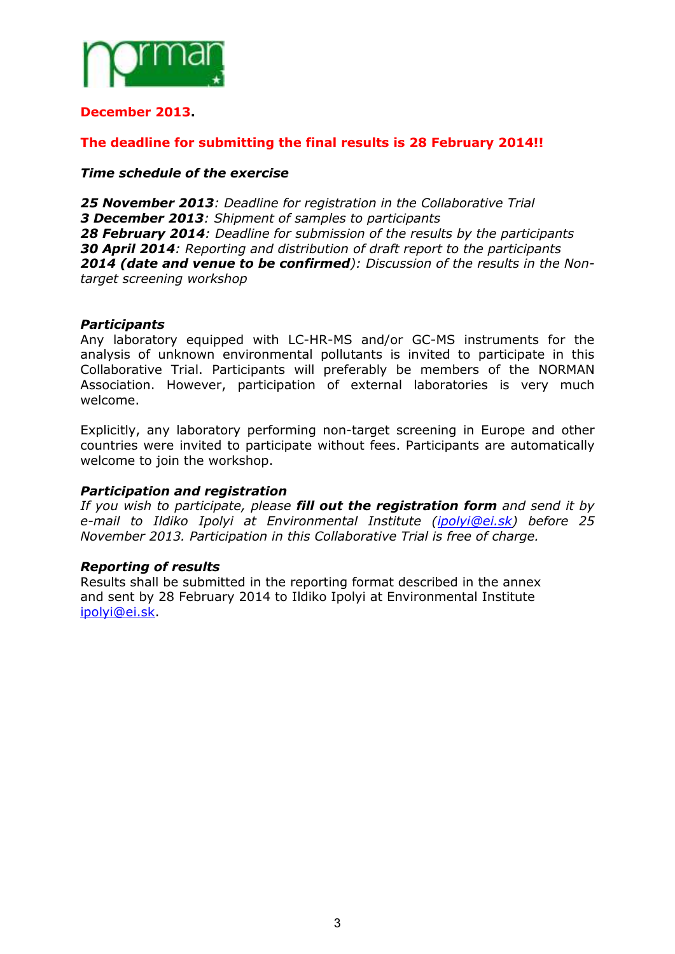

#### **December 2013.**

#### **The deadline for submitting the final results is 28 February 2014!!**

#### *Time schedule of the exercise*

*25 November 2013: Deadline for registration in the Collaborative Trial 3 December 2013: Shipment of samples to participants 28 February 2014: Deadline for submission of the results by the participants 30 April 2014: Reporting and distribution of draft report to the participants 2014 (date and venue to be confirmed): Discussion of the results in the Nontarget screening workshop* 

#### *Participants*

Any laboratory equipped with LC-HR-MS and/or GC-MS instruments for the analysis of unknown environmental pollutants is invited to participate in this Collaborative Trial. Participants will preferably be members of the NORMAN Association. However, participation of external laboratories is very much welcome.

Explicitly, any laboratory performing non-target screening in Europe and other countries were invited to participate without fees. Participants are automatically welcome to join the workshop.

#### *Participation and registration*

*If you wish to participate, please fill out the registration form and send it by e-mail to Ildiko Ipolyi at Environmental Institute (ipolyi@ei.sk) before 25 November 2013. Participation in this Collaborative Trial is free of charge.*

#### *Reporting of results*

Results shall be submitted in the reporting format described in the annex and sent by 28 February 2014 to Ildiko Ipolyi at Environmental Institute ipolyi@ei.sk.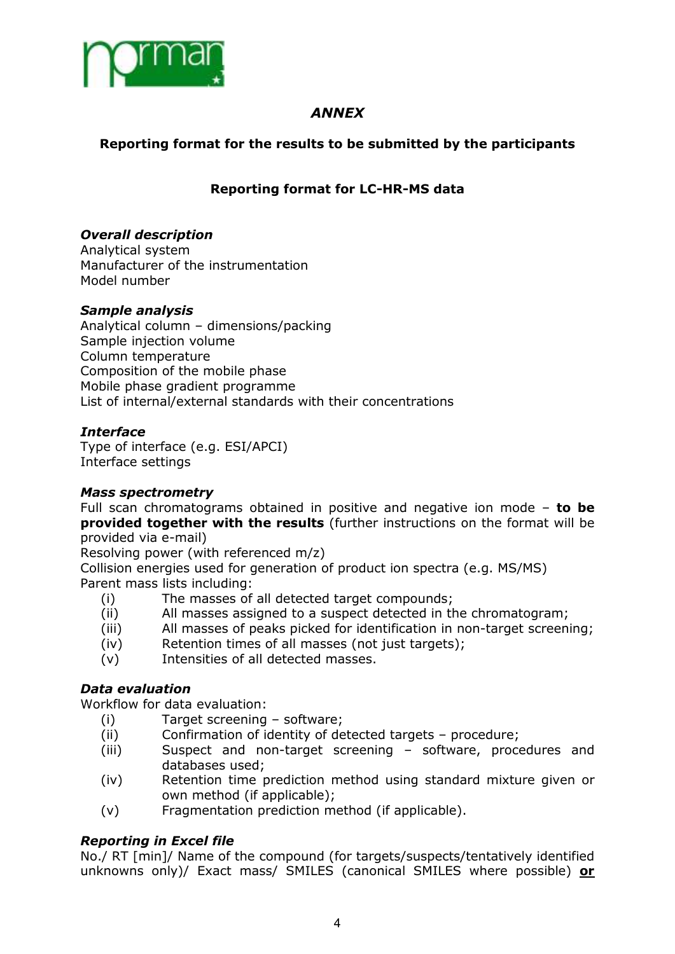

## *ANNEX*

## **Reporting format for the results to be submitted by the participants**

## **Reporting format for LC-HR-MS data**

## *Overall description*

Analytical system Manufacturer of the instrumentation Model number

## *Sample analysis*

Analytical column – dimensions/packing Sample injection volume Column temperature Composition of the mobile phase Mobile phase gradient programme List of internal/external standards with their concentrations

## *Interface*

Type of interface (e.g. ESI/APCI) Interface settings

#### *Mass spectrometry*

Full scan chromatograms obtained in positive and negative ion mode – **to be provided together with the results** (further instructions on the format will be provided via e-mail)

Resolving power (with referenced m/z)

Collision energies used for generation of product ion spectra (e.g. MS/MS) Parent mass lists including:

- (i) The masses of all detected target compounds;
- (ii) All masses assigned to a suspect detected in the chromatogram;
- (iii) All masses of peaks picked for identification in non-target screening;
- (iv) Retention times of all masses (not just targets);
- (v) Intensities of all detected masses.

## *Data evaluation*

Workflow for data evaluation:

- (i) Target screening software;
- (ii) Confirmation of identity of detected targets procedure;
- (iii) Suspect and non-target screening software, procedures and databases used;
- (iv) Retention time prediction method using standard mixture given or own method (if applicable);
- (v) Fragmentation prediction method (if applicable).

## *Reporting in Excel file*

No./ RT [min]/ Name of the compound (for targets/suspects/tentatively identified unknowns only)/ Exact mass/ SMILES (canonical SMILES where possible) **or**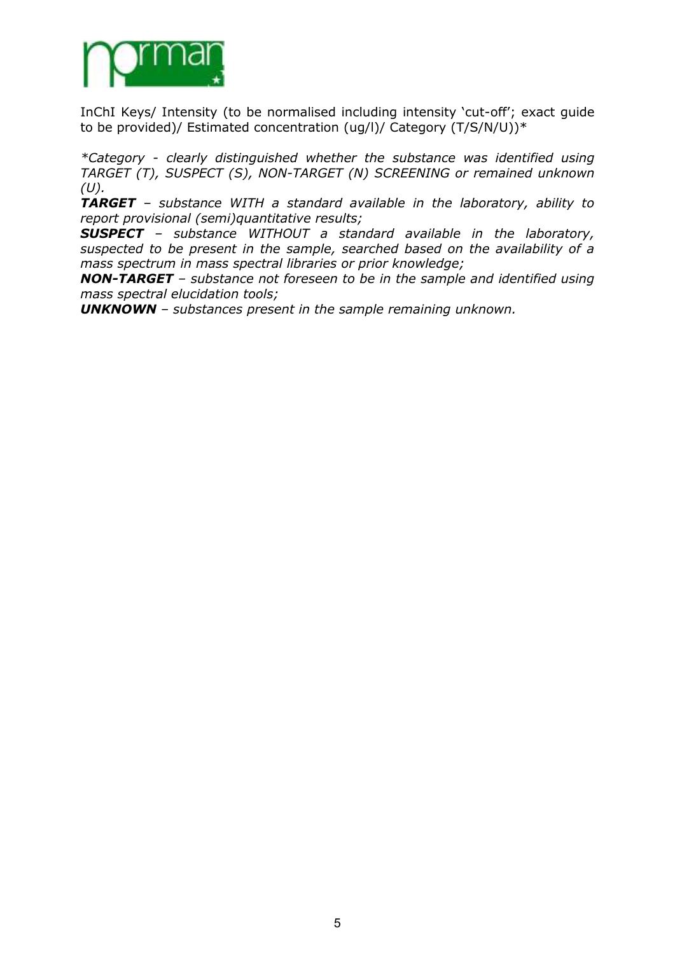

InChI Keys/ Intensity (to be normalised including intensity 'cut-off'; exact guide to be provided)/ Estimated concentration (ug/l)/ Category (T/S/N/U))\*

*\*Category - clearly distinguished whether the substance was identified using TARGET (T), SUSPECT (S), NON-TARGET (N) SCREENING or remained unknown*   $(U)$ .

*TARGET – substance WITH a standard available in the laboratory, ability to report provisional (semi)quantitative results;* 

*SUSPECT – substance WITHOUT a standard available in the laboratory, suspected to be present in the sample, searched based on the availability of a mass spectrum in mass spectral libraries or prior knowledge;* 

*NON-TARGET – substance not foreseen to be in the sample and identified using mass spectral elucidation tools;* 

*UNKNOWN – substances present in the sample remaining unknown.*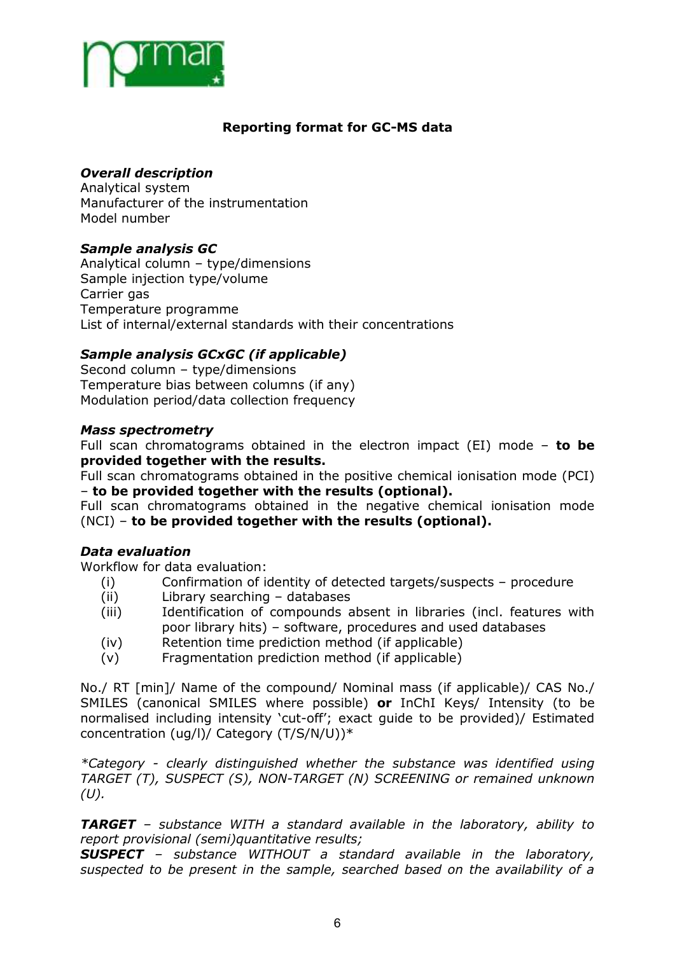

## **Reporting format for GC-MS data**

## *Overall description*

Analytical system Manufacturer of the instrumentation Model number

## *Sample analysis GC*

Analytical column – type/dimensions Sample injection type/volume Carrier gas Temperature programme List of internal/external standards with their concentrations

## *Sample analysis GCxGC (if applicable)*

Second column – type/dimensions Temperature bias between columns (if any) Modulation period/data collection frequency

#### *Mass spectrometry*

Full scan chromatograms obtained in the electron impact (EI) mode – **to be provided together with the results.** 

Full scan chromatograms obtained in the positive chemical ionisation mode (PCI) – **to be provided together with the results (optional).** 

Full scan chromatograms obtained in the negative chemical ionisation mode (NCI) – **to be provided together with the results (optional).**

#### *Data evaluation*

Workflow for data evaluation:

- (i) Confirmation of identity of detected targets/suspects procedure
- (ii) Library searching databases
- (iii) Identification of compounds absent in libraries (incl. features with poor library hits) – software, procedures and used databases
- (iv) Retention time prediction method (if applicable)
- (v) Fragmentation prediction method (if applicable)

No./ RT [min]/ Name of the compound/ Nominal mass (if applicable)/ CAS No./ SMILES (canonical SMILES where possible) **or** InChI Keys/ Intensity (to be normalised including intensity 'cut-off'; exact guide to be provided)/ Estimated concentration (ug/l)/ Category (T/S/N/U))\*

*\*Category - clearly distinguished whether the substance was identified using TARGET (T), SUSPECT (S), NON-TARGET (N) SCREENING or remained unknown*   $(U)$ .

*TARGET – substance WITH a standard available in the laboratory, ability to report provisional (semi)quantitative results;* 

*SUSPECT – substance WITHOUT a standard available in the laboratory, suspected to be present in the sample, searched based on the availability of a*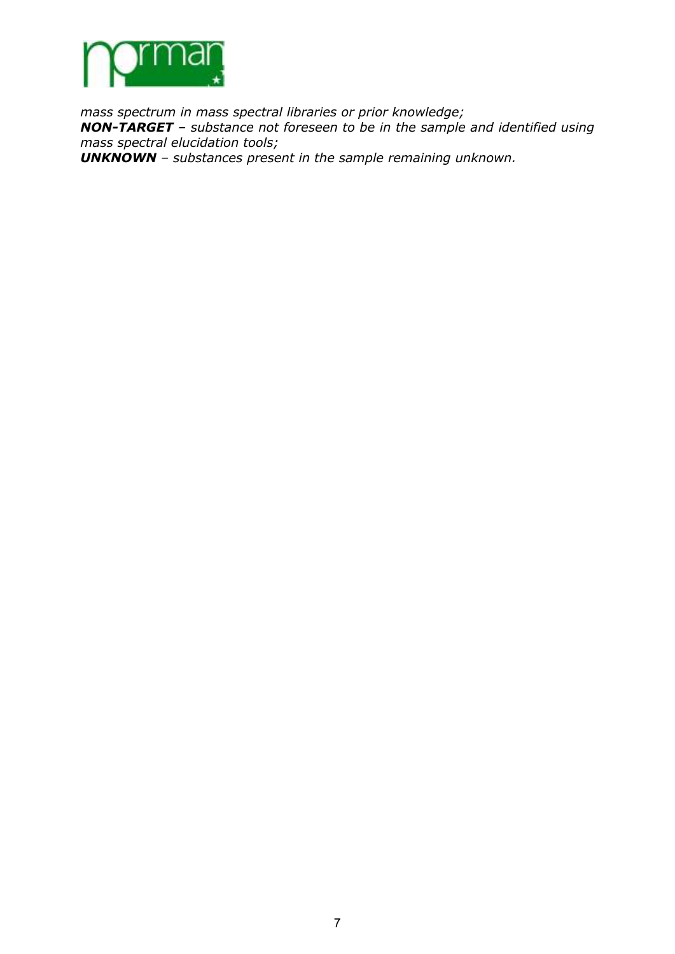

*mass spectrum in mass spectral libraries or prior knowledge; NON-TARGET – substance not foreseen to be in the sample and identified using mass spectral elucidation tools;* 

*UNKNOWN – substances present in the sample remaining unknown.*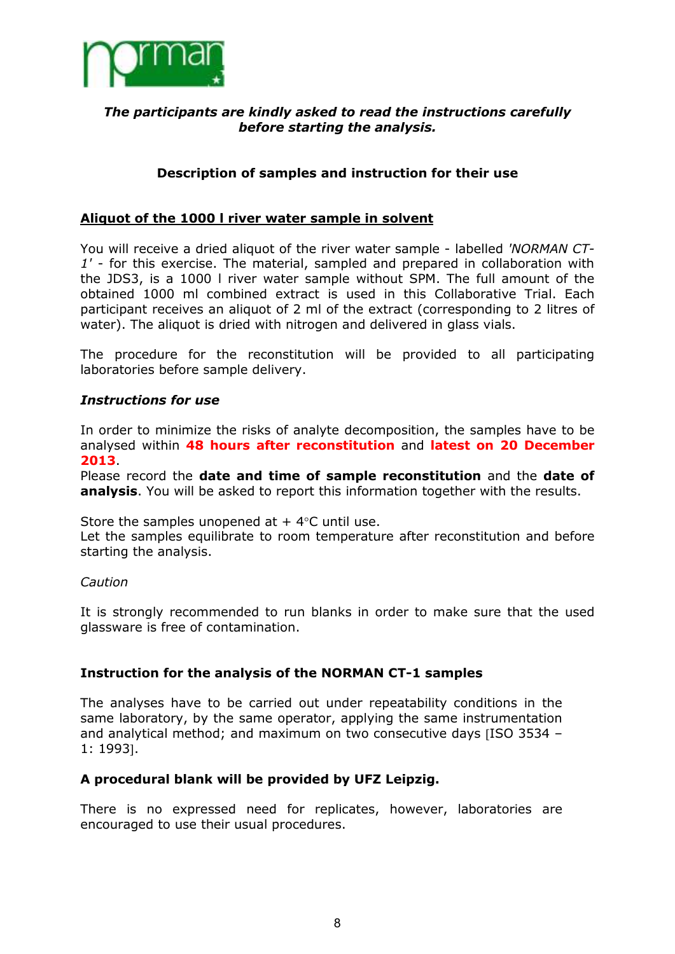

#### *The participants are kindly asked to read the instructions carefully before starting the analysis.*

## **Description of samples and instruction for their use**

#### **Aliquot of the 1000 l river water sample in solvent**

You will receive a dried aliquot of the river water sample - labelled *'NORMAN CT-1'* - for this exercise. The material, sampled and prepared in collaboration with the JDS3, is a 1000 l river water sample without SPM. The full amount of the obtained 1000 ml combined extract is used in this Collaborative Trial. Each participant receives an aliquot of 2 ml of the extract (corresponding to 2 litres of water). The aliquot is dried with nitrogen and delivered in glass vials.

The procedure for the reconstitution will be provided to all participating laboratories before sample delivery.

#### *Instructions for use*

In order to minimize the risks of analyte decomposition, the samples have to be analysed within **48 hours after reconstitution** and **latest on 20 December 2013**.

Please record the **date and time of sample reconstitution** and the **date of analysis**. You will be asked to report this information together with the results.

Store the samples unopened at  $+4$ °C until use.

Let the samples equilibrate to room temperature after reconstitution and before starting the analysis.

#### *Caution*

It is strongly recommended to run blanks in order to make sure that the used glassware is free of contamination.

#### **Instruction for the analysis of the NORMAN CT-1 samples**

The analyses have to be carried out under repeatability conditions in the same laboratory, by the same operator, applying the same instrumentation and analytical method; and maximum on two consecutive days [ISO 3534 – 1: 1993].

#### **A procedural blank will be provided by UFZ Leipzig.**

There is no expressed need for replicates, however, laboratories are encouraged to use their usual procedures.